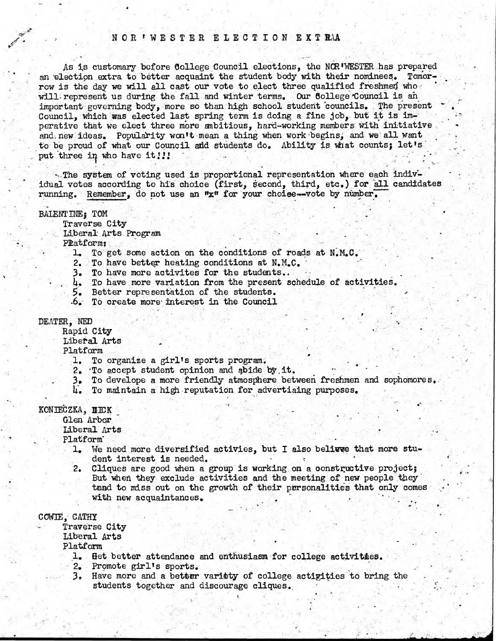# NOR 'WESTER ELECTION EXTRA

**As 5,s customary before 6ollege Council elections, the NCR'WESTER has prepared an 'election extra to better acquaint the student body with their nominees. Tomorrow is the day we will all cast our vote to elect three qualified freshmen who ' will; represent us during the fall and winter terms. Our College 'Council is an important governing body, more so than high school student councils. . The present Council, which was elected last spring term is doing a fine job, but it is im**perative that we elect three more ambitious, hard-working members with initiative and new ideas. Popularity won't mean a thing when work begins, and we all want to be proud of what our Council add students do. Ability is what counts; let's put three in who have it!!!

**The system of voting used is proportional representation where each indiv**idual votes according to his choice (first, second, third, etc.) for all candidates running. Remember, do not use an  $*x$  for your choise— vote by number.

### **BALENTINE**<sup>2</sup> TOM

**Traverse City**

 $I$ iberal Arts Program

**Platforms**

1. To get some action on the conditions of roads at N.M.C.

**2. To have better heating conditions at N.M.C. '**

- **3. To have more activites for the students.. .**
- 4. To have more variation from the present schedule of activities.

**5. Better representation of the students.**

**•6. To create more- interest in the Council**

### DEATER, NED

**Rapid City** 

**Libefal Arts**

**Platform ^**

- 1. To organize a girl's sports program.
- 2. To accept student opinion and abide by it.
- 3. To develope a more friendly atmosphere between freshmen and sophomores.
- **U\* To maintain a high -reputation for advertiaing purposes.**

## KONIECZKA, II ICK

**Glen Arbor '**

**liberal Arts •**

**Platform'**

- **1. We need more diversified act ivies, but I also believe that more stu**dent interest is needed.
- **2. Cliques are good when a group is working.on a constructive projectj But whefi they exclude activities and the meeting of new people they tend to miss out on the growth of their personalities that only comes** with new acquaintances.

**CGW3E, CATHX \_ '**

**Traverse City** Liberal Arts **Platform \* ' \* -•**

- **1. Bet better attendance and enthusiasm for college activities.**
- 
- **2» Promote girl's sports.** Have more and a better variety of college actigities to bring the **students together and discourage cliques..**